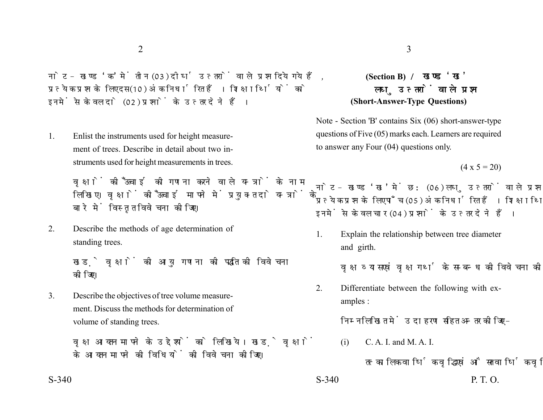नोट- खण्ड 'क' में तीन (03) दीर्घ उत्तरों वाले प्रश्न दिये गये हैं. प्रत्येक प्रश्न के लिए दस (10) अंक निर्धारित हैं। शिक्षार्थियों को इनमें से केवल दो (02) प्रश्नों के उत्तर देने हैं।

1. Enlist the instruments used for height measurement of trees. Describe in detail about two instruments used for height measurements in trees.

> वक्षों की ऊँचाई की गणना करने वाले यन्त्रों के नाम लिखिए। वृक्षों की ऊँचाई मापने में प्रयुक्त दो यन्त्रों के बारे में विस्तृत विवेचना कीजिए।

2. Describe the methods of age determination of standing trees.

> खड़े वृक्षों की आयु गणना की पद्धति की विवेचना कोजिए।

3. Describe the objectives of tree volume measurement. Discuss the methods for determination of volume of standing trees.

> वृक्ष आयतन मापने के उद्देश्यों को लिखिये। खड़े वृक्षों के आयतन मापने की विधियों की विवेचना कीजिए।

## **(Section B)**  लघ उत्तरों वाले प्रश्न **(Short-Answer-Type Questions)**

Note - Section 'B' contains Six (06) short-answer-type questions of Five (05) marks each. Learners are required to answer any Four (04) questions only.

 $(4 \times 5 = 20)$ 

नोट- खण्ड 'ख' में छ: (06) लघु उत्तरों वाले प्रश्न दिये गये हैं, प्रत्येक प्रश्न के लिए पाँच (05) अंक निर्धारित हैं। शिक्षार्थियों को इनमें से केवल चार (04) प्रश्नों के उत्तर देने हैं।

1. Explain the relationship between tree diameter and girth.

वृक्ष व्यास एवं वृक्ष गर्थ के सम्बन्ध की विवेचना कीजिए।

2. Differentiate between the following with examples :

निम्नलिखित में उदाहरण सहित अन्तर कोजिए –

(i) C. A. I. and M. A. I.

तत्कालिक वार्षिक वद्धि एवं औसत वार्षिक वद्धि

 $S-340$  P. T. O.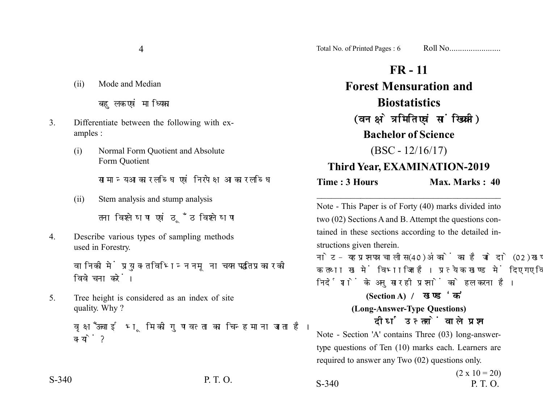(ii) Mode and Median

बहलक एवं माध्यिका

- 3. Differentiate between the following with examples :
	- (i) Normal Form Quotient and Absolute Form Quotient

सामान्य आकार लब्धि एवं निरपेक्ष आकार लब्धि

(ii) Stem analysis and stump analysis

तना विश्लेषण एवं ठँठ विश्लेषण

4. Describe various types of sampling methods used in Forestry.

> वानिको में प्रयुक्त विभिन्न नमूना चयन पद्धति प्रकार को विवेचना करें।

5. Tree height is considered as an index of site quality. Why ?

> वृक्ष ऊँचाई भूमि की गुणवत्ता का चिन्ह माना जाता है। क्यों ?

4 Total No. of Printed Pages : 6 Roll No........................

## **FR - 11 Forest Mensuration and Biostatistics** (वन क्षेत्रमिति एवं सांख्यिकी) **Bachelor of Science**  $(BSC - 12/16/17)$ **Third Year, EXAMINATION-2019**

**Time : 3 Hours Max. Marks : 40** 

Note - This Paper is of Forty (40) marks divided into two (02) Sections A and B. Attempt the questions contained in these sections according to the detailed instructions given therein.

\_\_\_\_\_\_\_\_\_\_\_\_\_\_\_\_\_\_\_\_\_\_\_\_\_\_\_\_\_\_\_\_\_\_\_\_\_\_

नोट- यह प्रश्नपत्र चालीस (40) अंकों का है जो दो (02) खण्डों, क तथा ख में विभाजित है। प्रत्येक खण्ड में दिए गए विस्तृत निर्देशों के अनुसार ही प्रश्नों को हल करना है।

> **(Section A) (Long-Answer-Type Questions)** दीर्घ उत्तरों वाले प्रश्न

Note - Section 'A' contains Three (03) long-answertype questions of Ten (10) marks each. Learners are required to answer any Two (02) questions only.

 $(2 \times 10 = 20)$ S-340 P. T. O. S-340 P. T. O.